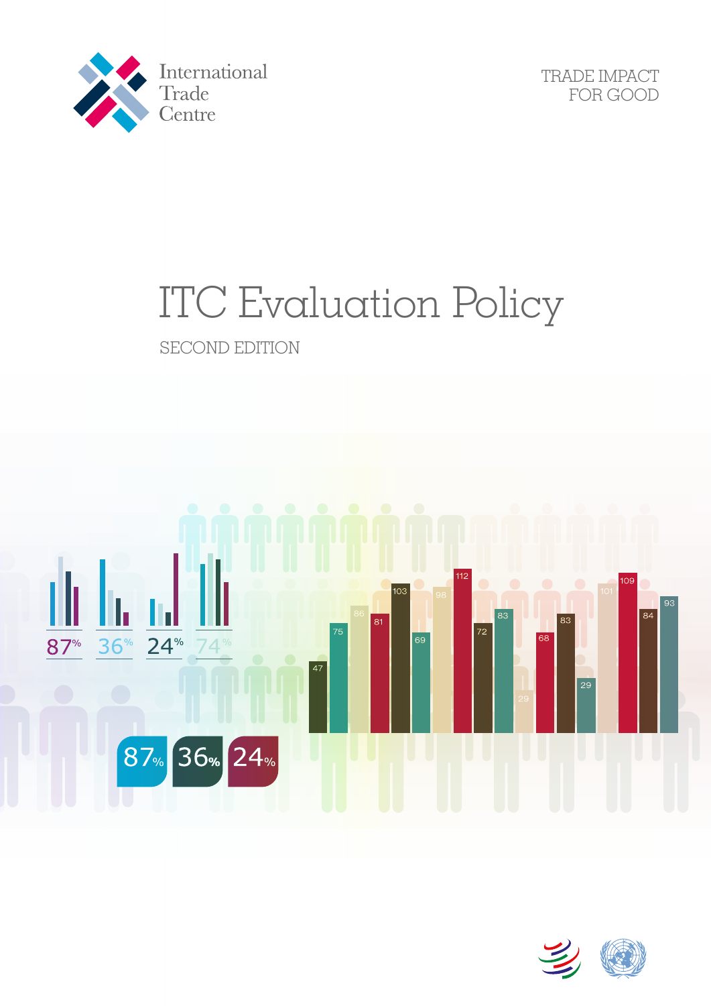

TRADE IMPACT FOR GOOD

# ITC Evaluation Policy

SECOND EDITION



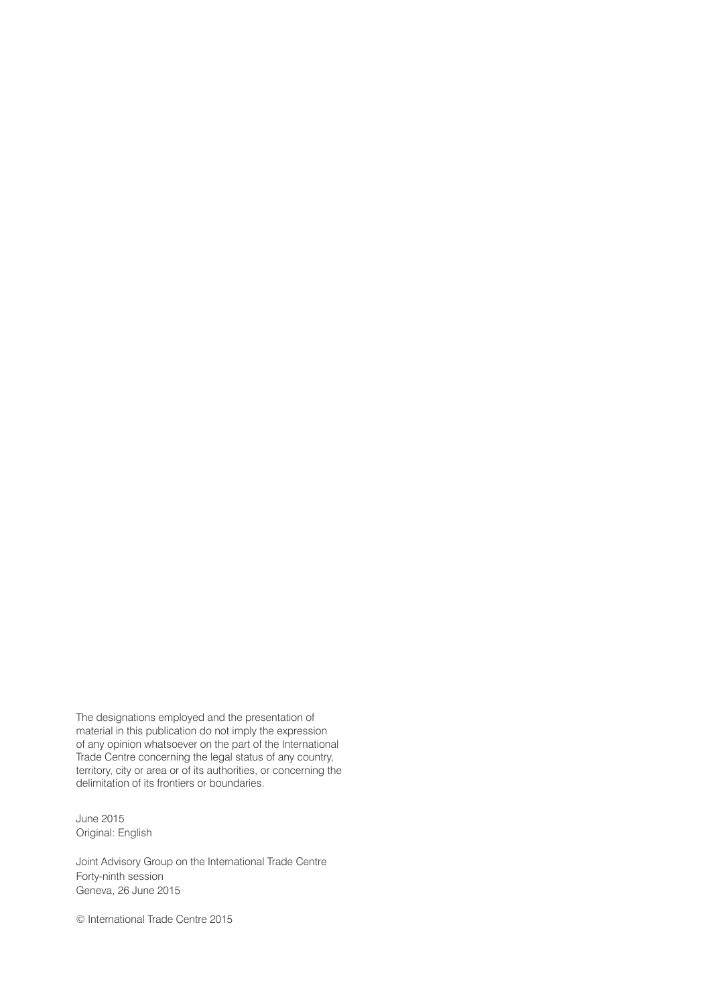The designations employed and the presentation of material in this publication do not imply the expression of any opinion whatsoever on the part of the International Trade Centre concerning the legal status of any country, territory, city or area or of its authorities, or concerning the delimitation of its frontiers or boundaries.

June 2015 Original: English

Joint Advisory Group on the International Trade Centre Forty-ninth session Geneva, 26 June 2015

© International Trade Centre 2015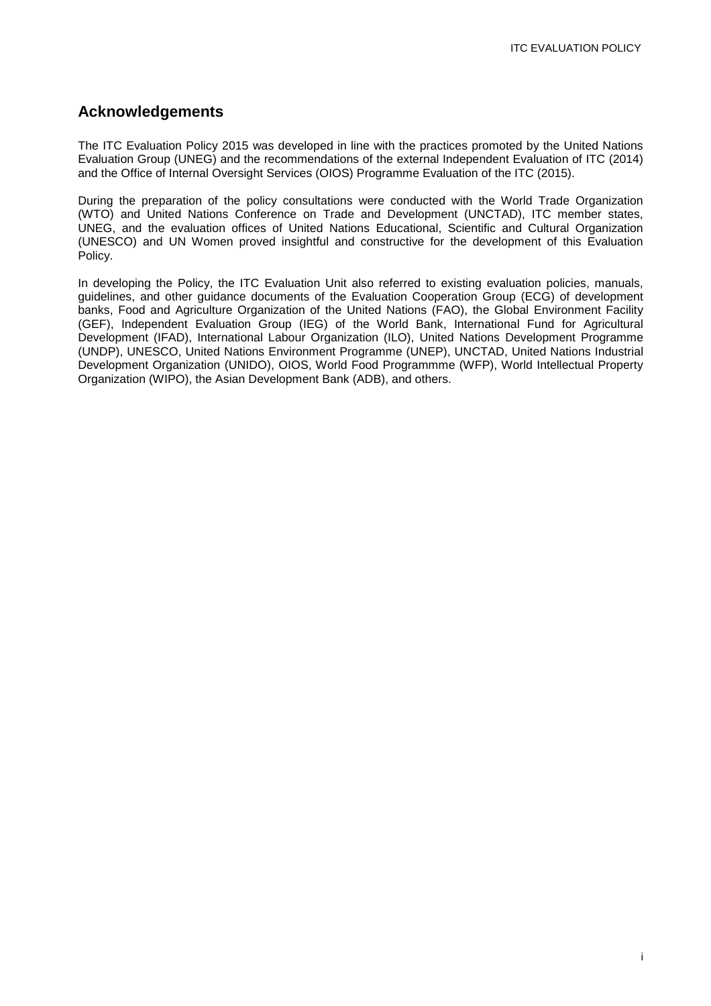#### **Acknowledgements**

The ITC Evaluation Policy 2015 was developed in line with the practices promoted by the United Nations Evaluation Group (UNEG) and the recommendations of the external Independent Evaluation of ITC (2014) and the Office of Internal Oversight Services (OIOS) Programme Evaluation of the ITC (2015).

During the preparation of the policy consultations were conducted with the World Trade Organization (WTO) and United Nations Conference on Trade and Development (UNCTAD), ITC member states, UNEG, and the evaluation offices of United Nations Educational, Scientific and Cultural Organization (UNESCO) and UN Women proved insightful and constructive for the development of this Evaluation Policy.

In developing the Policy, the ITC Evaluation Unit also referred to existing evaluation policies, manuals, guidelines, and other guidance documents of the Evaluation Cooperation Group (ECG) of development banks, Food and Agriculture Organization of the United Nations (FAO), the Global Environment Facility (GEF), Independent Evaluation Group (IEG) of the World Bank, International Fund for Agricultural Development (IFAD), International Labour Organization (ILO), United Nations Development Programme (UNDP), UNESCO, United Nations Environment Programme (UNEP), UNCTAD, United Nations Industrial Development Organization (UNIDO), OIOS, World Food Programmme (WFP), World Intellectual Property Organization (WIPO), the Asian Development Bank (ADB), and others.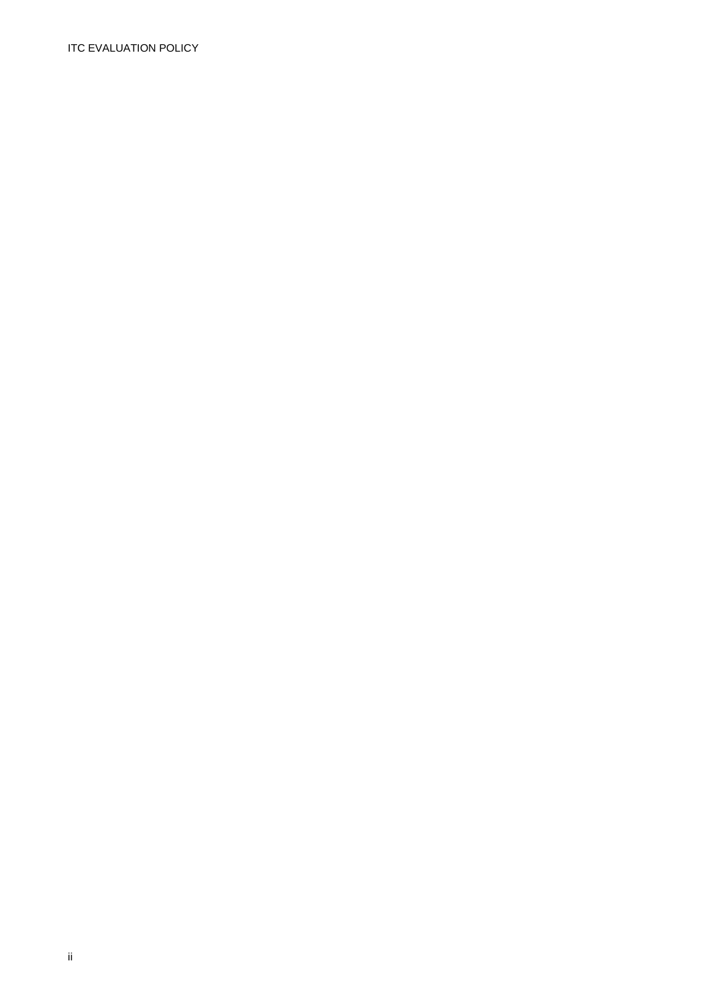**ITC EVALUATION POLICY**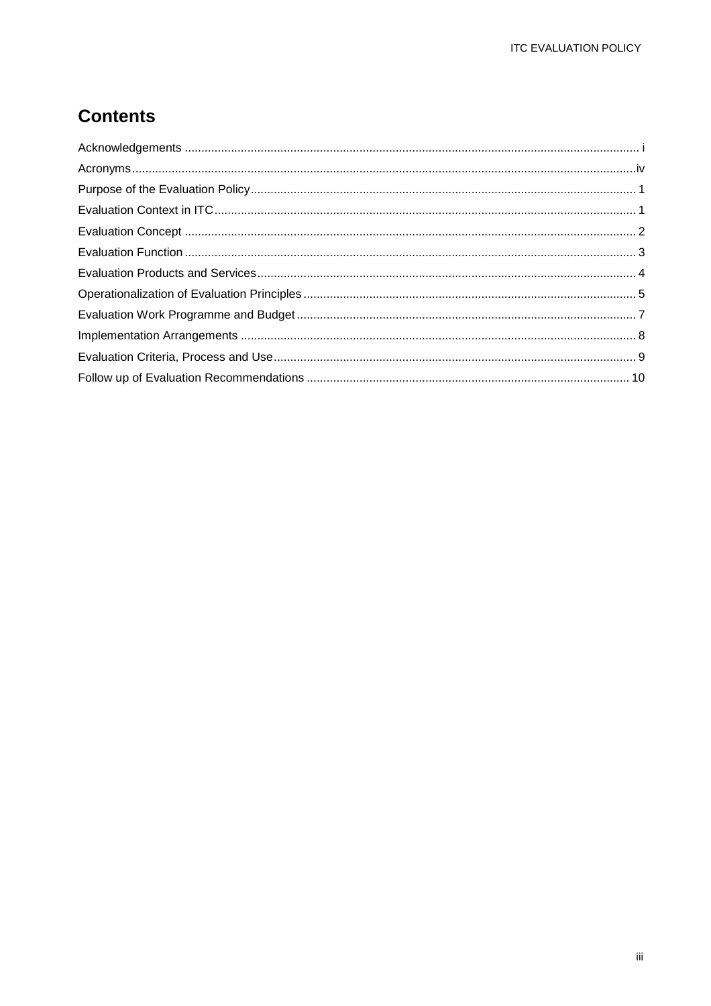# **Contents**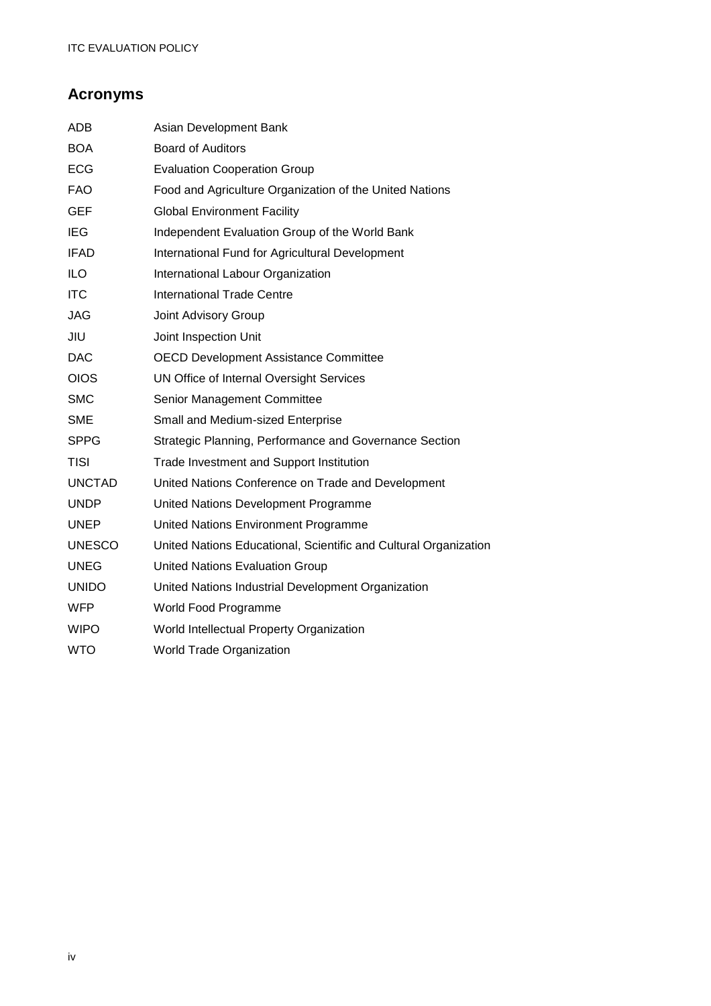# **Acronyms**

| ADB           | Asian Development Bank                                           |
|---------------|------------------------------------------------------------------|
| <b>BOA</b>    | <b>Board of Auditors</b>                                         |
| <b>ECG</b>    | <b>Evaluation Cooperation Group</b>                              |
| <b>FAO</b>    | Food and Agriculture Organization of the United Nations          |
| <b>GEF</b>    | <b>Global Environment Facility</b>                               |
| <b>IEG</b>    | Independent Evaluation Group of the World Bank                   |
| <b>IFAD</b>   | International Fund for Agricultural Development                  |
| <b>ILO</b>    | International Labour Organization                                |
| <b>ITC</b>    | <b>International Trade Centre</b>                                |
| <b>JAG</b>    | Joint Advisory Group                                             |
| JIU           | Joint Inspection Unit                                            |
| <b>DAC</b>    | <b>OECD Development Assistance Committee</b>                     |
| <b>OIOS</b>   | UN Office of Internal Oversight Services                         |
| <b>SMC</b>    | Senior Management Committee                                      |
| <b>SME</b>    | Small and Medium-sized Enterprise                                |
| <b>SPPG</b>   | Strategic Planning, Performance and Governance Section           |
| <b>TISI</b>   | Trade Investment and Support Institution                         |
| <b>UNCTAD</b> | United Nations Conference on Trade and Development               |
| <b>UNDP</b>   | United Nations Development Programme                             |
| <b>UNEP</b>   | United Nations Environment Programme                             |
| <b>UNESCO</b> | United Nations Educational, Scientific and Cultural Organization |
| <b>UNEG</b>   | <b>United Nations Evaluation Group</b>                           |
| <b>UNIDO</b>  | United Nations Industrial Development Organization               |
| <b>WFP</b>    | World Food Programme                                             |
| <b>WIPO</b>   | World Intellectual Property Organization                         |
| <b>WTO</b>    | <b>World Trade Organization</b>                                  |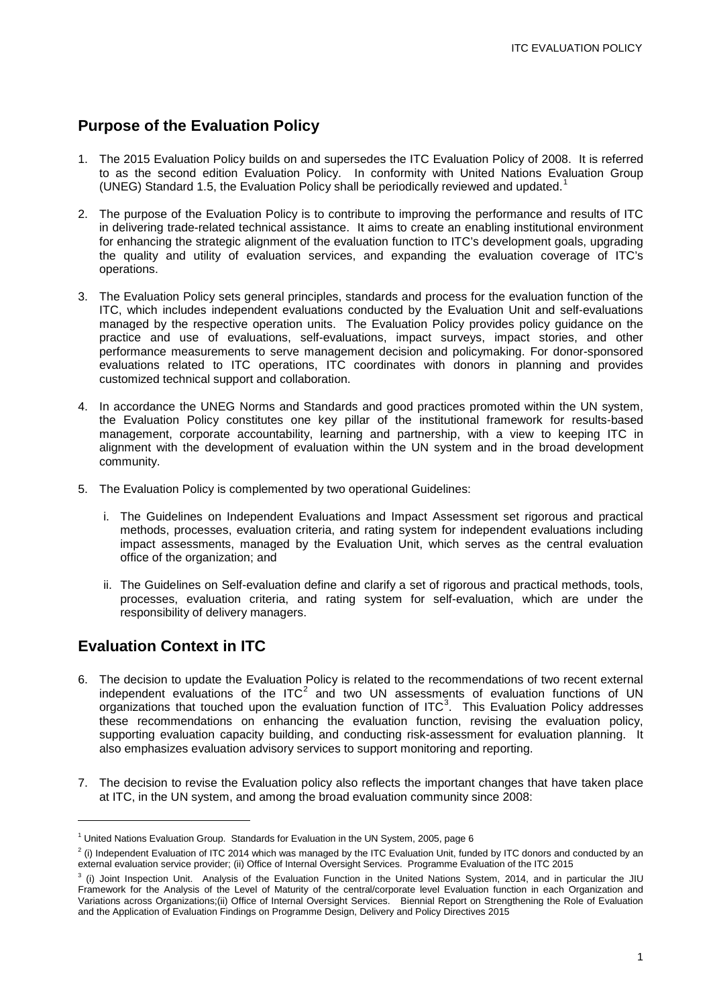#### **Purpose of the Evaluation Policy**

- 1. The 2015 Evaluation Policy builds on and supersedes the ITC Evaluation Policy of 2008. It is referred to as the second edition Evaluation Policy. In conformity with United Nations Evaluation Group (UNEG) Standard 1.5, the Evaluation Policy shall be periodically reviewed and updated.
- 2. The purpose of the Evaluation Policy is to contribute to improving the performance and results of ITC in delivering trade-related technical assistance. It aims to create an enabling institutional environment for enhancing the strategic alignment of the evaluation function to ITC's development goals, upgrading the quality and utility of evaluation services, and expanding the evaluation coverage of ITC's operations.
- 3. The Evaluation Policy sets general principles, standards and process for the evaluation function of the ITC, which includes independent evaluations conducted by the Evaluation Unit and self-evaluations managed by the respective operation units. The Evaluation Policy provides policy guidance on the practice and use of evaluations, self-evaluations, impact surveys, impact stories, and other performance measurements to serve management decision and policymaking. For donor-sponsored evaluations related to ITC operations, ITC coordinates with donors in planning and provides customized technical support and collaboration.
- 4. In accordance the UNEG Norms and Standards and good practices promoted within the UN system, the Evaluation Policy constitutes one key pillar of the institutional framework for results-based management, corporate accountability, learning and partnership, with a view to keeping ITC in alignment with the development of evaluation within the UN system and in the broad development community.
- 5. The Evaluation Policy is complemented by two operational Guidelines:
	- i. The Guidelines on Independent Evaluations and Impact Assessment set rigorous and practical methods, processes, evaluation criteria, and rating system for independent evaluations including impact assessments, managed by the Evaluation Unit, which serves as the central evaluation office of the organization: and
	- ii. The Guidelines on Self-evaluation define and clarify a set of rigorous and practical methods, tools, processes, evaluation criteria, and rating system for self-evaluation, which are under the responsibility of delivery managers.

## **Evaluation Context in ITC**

- 6. The decision to update the Evaluation Policy is related to the recommendations of two recent external independent evaluations of the ITC<sup>2</sup> and two UN assessments of evaluation functions of UN organizations that touched upon the evaluation function of ITC<sup>3</sup>. This Evaluation Policy addresses these recommendations on enhancing the evaluation function, revising the evaluation policy, supporting evaluation capacity building, and conducting risk-assessment for evaluation planning. It also emphasizes evaluation advisory services to support monitoring and reporting.
- 7. The decision to revise the Evaluation policy also reflects the important changes that have taken place at ITC, in the UN system, and among the broad evaluation community since 2008:

 $1$  United Nations Evaluation Group. Standards for Evaluation in the UN System, 2005, page 6

<sup>&</sup>lt;sup>2</sup> (i) Independent Evaluation of ITC 2014 which was managed by the ITC Evaluation Unit, funded by ITC donors and conducted by an external evaluation service provider; (ii) Office of Internal Oversight Services. Programme Evaluation of the ITC 2015

<sup>&</sup>lt;sup>3</sup> (i) Joint Inspection Unit. Analysis of the Evaluation Function in the United Nations System, 2014, and in particular the JIU Framework for the Analysis of the Level of Maturity of the central/corporate level Evaluation function in each Organization and Variations across Organizations;(ii) Office of Internal Oversight Services. Biennial Report on Strengthening the Role of Evaluation and the Application of Evaluation Findings on Programme Design, Delivery and Policy Directives 2015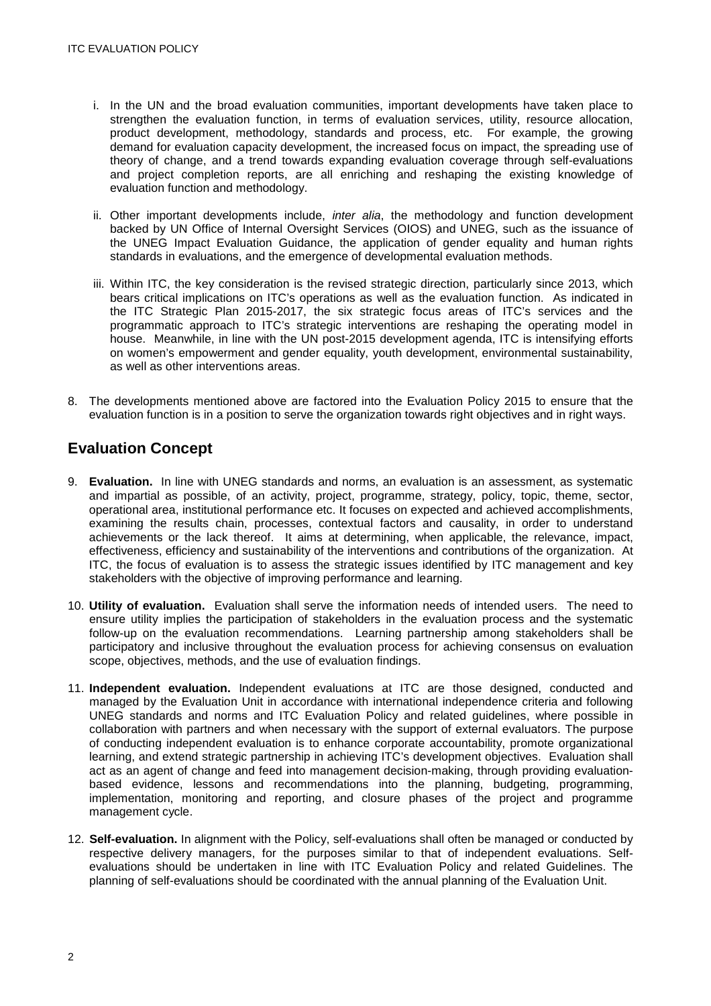- i. In the UN and the broad evaluation communities, important developments have taken place to strengthen the evaluation function, in terms of evaluation services, utility, resource allocation, product development, methodology, standards and process, etc. For example, the growing demand for evaluation capacity development, the increased focus on impact, the spreading use of theory of change, and a trend towards expanding evaluation coverage through self-evaluations and project completion reports, are all enriching and reshaping the existing knowledge of evaluation function and methodology.
- ii. Other important developments include, inter alia, the methodology and function development backed by UN Office of Internal Oversight Services (OIOS) and UNEG, such as the issuance of the UNEG Impact Evaluation Guidance, the application of gender equality and human rights standards in evaluations, and the emergence of developmental evaluation methods.
- iii. Within ITC, the key consideration is the revised strategic direction, particularly since 2013, which bears critical implications on ITC's operations as well as the evaluation function. As indicated in the ITC Strategic Plan 2015-2017, the six strategic focus areas of ITC's services and the programmatic approach to ITC's strategic interventions are reshaping the operating model in house. Meanwhile, in line with the UN post-2015 development agenda, ITC is intensifying efforts on women's empowerment and gender equality, youth development, environmental sustainability, as well as other interventions areas.
- 8. The developments mentioned above are factored into the Evaluation Policy 2015 to ensure that the evaluation function is in a position to serve the organization towards right objectives and in right ways.

# **Evaluation Concept**

- 9. Evaluation. In line with UNEG standards and norms, an evaluation is an assessment, as systematic and impartial as possible, of an activity, project, programme, strategy, policy, topic, theme, sector, operational area, institutional performance etc. It focuses on expected and achieved accomplishments, examining the results chain, processes, contextual factors and causality, in order to understand achievements or the lack thereof. It aims at determining, when applicable, the relevance, impact, effectiveness, efficiency and sustainability of the interventions and contributions of the organization. At ITC, the focus of evaluation is to assess the strategic issues identified by ITC management and key stakeholders with the objective of improving performance and learning.
- 10. Utility of evaluation. Evaluation shall serve the information needs of intended users. The need to ensure utility implies the participation of stakeholders in the evaluation process and the systematic follow-up on the evaluation recommendations. Learning partnership among stakeholders shall be participatory and inclusive throughout the evaluation process for achieving consensus on evaluation scope, objectives, methods, and the use of evaluation findings.
- 11. Independent evaluation. Independent evaluations at ITC are those designed, conducted and managed by the Evaluation Unit in accordance with international independence criteria and following UNEG standards and norms and ITC Evaluation Policy and related guidelines, where possible in collaboration with partners and when necessary with the support of external evaluators. The purpose of conducting independent evaluation is to enhance corporate accountability, promote organizational learning, and extend strategic partnership in achieving ITC's development objectives. Evaluation shall act as an agent of change and feed into management decision-making, through providing evaluationbased evidence, lessons and recommendations into the planning, budgeting, programming, implementation, monitoring and reporting, and closure phases of the project and programme management cycle.
- 12. Self-evaluation. In alignment with the Policy, self-evaluations shall often be managed or conducted by respective delivery managers, for the purposes similar to that of independent evaluations. Selfevaluations should be undertaken in line with ITC Evaluation Policy and related Guidelines. The planning of self-evaluations should be coordinated with the annual planning of the Evaluation Unit.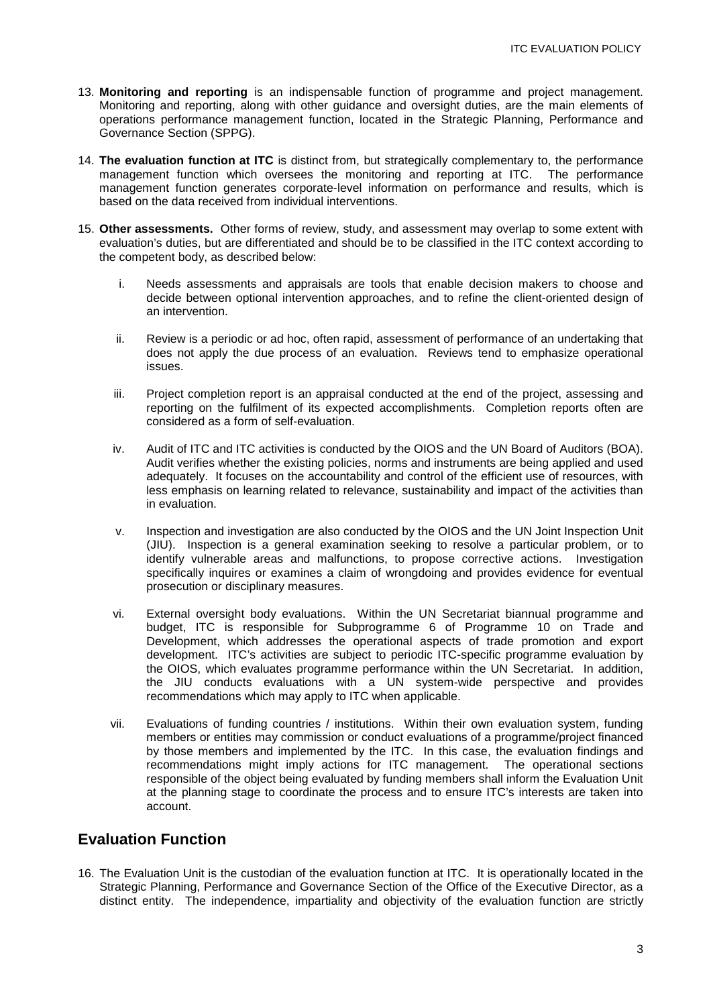- 13. Monitoring and reporting is an indispensable function of programme and project management. Monitoring and reporting, along with other guidance and oversight duties, are the main elements of operations performance management function, located in the Strategic Planning, Performance and Governance Section (SPPG).
- 14. The evaluation function at ITC is distinct from, but strategically complementary to, the performance management function which oversees the monitoring and reporting at ITC. The performance management function generates corporate-level information on performance and results, which is based on the data received from individual interventions.
- 15. Other assessments. Other forms of review, study, and assessment may overlap to some extent with evaluation's duties, but are differentiated and should be to be classified in the ITC context according to the competent body, as described below:
	- i. Needs assessments and appraisals are tools that enable decision makers to choose and decide between optional intervention approaches, and to refine the client-oriented design of an intervention.
	- ii. Review is a periodic or ad hoc, often rapid, assessment of performance of an undertaking that does not apply the due process of an evaluation. Reviews tend to emphasize operational issues.
	- iii. Project completion report is an appraisal conducted at the end of the project, assessing and reporting on the fulfilment of its expected accomplishments. Completion reports often are considered as a form of self-evaluation.
	- iv. Audit of ITC and ITC activities is conducted by the OIOS and the UN Board of Auditors (BOA). Audit verifies whether the existing policies, norms and instruments are being applied and used adequately. It focuses on the accountability and control of the efficient use of resources, with less emphasis on learning related to relevance, sustainability and impact of the activities than in evaluation.
	- Inspection and investigation are also conducted by the OIOS and the UN Joint Inspection Unit  $V_{\rm c}$ (JIU). Inspection is a general examination seeking to resolve a particular problem, or to identify vulnerable areas and malfunctions, to propose corrective actions. Investigation specifically inquires or examines a claim of wrongdoing and provides evidence for eventual prosecution or disciplinary measures.
	- External oversight body evaluations. Within the UN Secretariat biannual programme and vi. budget, ITC is responsible for Subprogramme 6 of Programme 10 on Trade and Development, which addresses the operational aspects of trade promotion and export development. ITC's activities are subject to periodic ITC-specific programme evaluation by the OIOS, which evaluates programme performance within the UN Secretariat. In addition, the JIU conducts evaluations with a UN system-wide perspective and provides recommendations which may apply to ITC when applicable.
	- vii. Evaluations of funding countries / institutions. Within their own evaluation system, funding members or entities may commission or conduct evaluations of a programme/project financed by those members and implemented by the ITC. In this case, the evaluation findings and recommendations might imply actions for ITC management. The operational sections responsible of the object being evaluated by funding members shall inform the Evaluation Unit at the planning stage to coordinate the process and to ensure ITC's interests are taken into account.

# **Evaluation Function**

16. The Evaluation Unit is the custodian of the evaluation function at ITC. It is operationally located in the Strategic Planning, Performance and Governance Section of the Office of the Executive Director, as a distinct entity. The independence, impartiality and objectivity of the evaluation function are strictly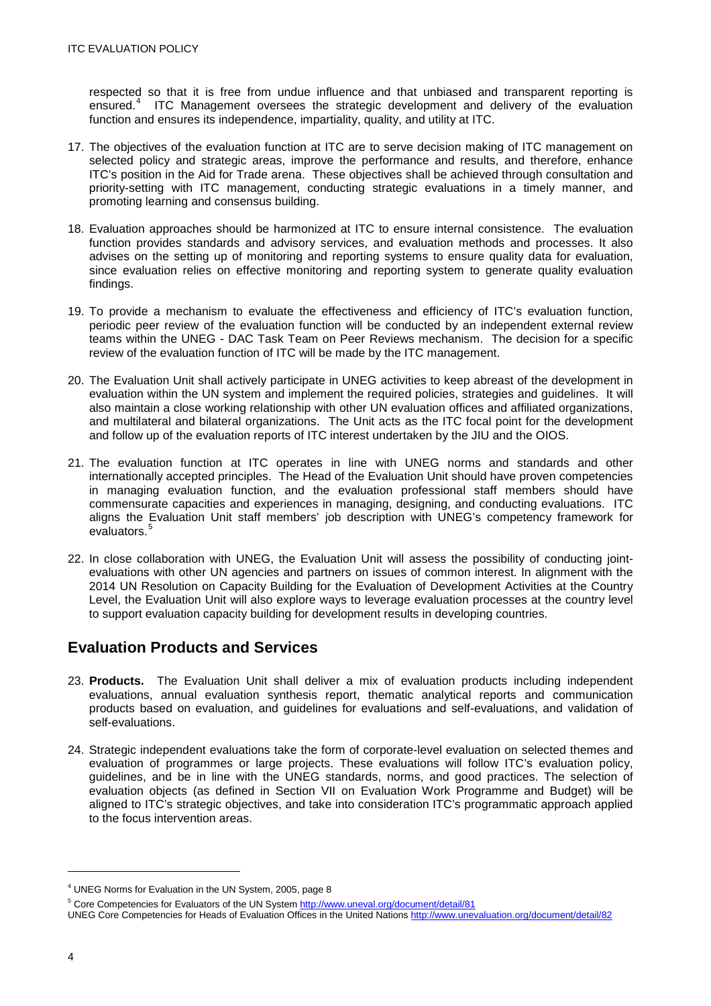respected so that it is free from undue influence and that unbiased and transparent reporting is ensured.<sup>4</sup> ITC Management oversees the strategic development and delivery of the evaluation function and ensures its independence, impartiality, quality, and utility at ITC.

- 17. The objectives of the evaluation function at ITC are to serve decision making of ITC management on selected policy and strategic areas, improve the performance and results, and therefore, enhance ITC's position in the Aid for Trade arena. These objectives shall be achieved through consultation and priority-setting with ITC management, conducting strategic evaluations in a timely manner, and promoting learning and consensus building.
- 18. Evaluation approaches should be harmonized at ITC to ensure internal consistence. The evaluation function provides standards and advisory services, and evaluation methods and processes. It also advises on the setting up of monitoring and reporting systems to ensure quality data for evaluation, since evaluation relies on effective monitoring and reporting system to generate quality evaluation findinas.
- 19. To provide a mechanism to evaluate the effectiveness and efficiency of ITC's evaluation function, periodic peer review of the evaluation function will be conducted by an independent external review teams within the UNEG - DAC Task Team on Peer Reviews mechanism. The decision for a specific review of the evaluation function of ITC will be made by the ITC management.
- 20. The Evaluation Unit shall actively participate in UNEG activities to keep abreast of the development in evaluation within the UN system and implement the required policies, strategies and guidelines. It will also maintain a close working relationship with other UN evaluation offices and affiliated organizations, and multilateral and bilateral organizations. The Unit acts as the ITC focal point for the development and follow up of the evaluation reports of ITC interest undertaken by the JIU and the OIOS.
- 21. The evaluation function at ITC operates in line with UNEG norms and standards and other internationally accepted principles. The Head of the Evaluation Unit should have proven competencies in managing evaluation function, and the evaluation professional staff members should have commensurate capacities and experiences in managing, designing, and conducting evaluations. ITC aligns the Evaluation Unit staff members' job description with UNEG's competency framework for evaluators.
- 22. In close collaboration with UNEG, the Evaluation Unit will assess the possibility of conducting jointevaluations with other UN agencies and partners on issues of common interest. In alignment with the 2014 UN Resolution on Capacity Building for the Evaluation of Development Activities at the Country Level, the Evaluation Unit will also explore ways to leverage evaluation processes at the country level to support evaluation capacity building for development results in developing countries.

## **Evaluation Products and Services**

- 23. Products. The Evaluation Unit shall deliver a mix of evaluation products including independent evaluations, annual evaluation synthesis report, thematic analytical reports and communication products based on evaluation, and guidelines for evaluations and self-evaluations, and validation of self-evaluations.
- 24. Strategic independent evaluations take the form of corporate-level evaluation on selected themes and evaluation of programmes or large projects. These evaluations will follow ITC's evaluation policy, guidelines, and be in line with the UNEG standards, norms, and good practices. The selection of evaluation objects (as defined in Section VII on Evaluation Work Programme and Budget) will be aligned to ITC's strategic objectives, and take into consideration ITC's programmatic approach applied to the focus intervention areas.

<sup>&</sup>lt;sup>4</sup> UNEG Norms for Evaluation in the UN System, 2005, page 8

<sup>&</sup>lt;sup>5</sup> Core Competencies for Evaluators of the UN System http://www.uneval.org/document/detail/81

UNEG Core Competencies for Heads of Evaluation Offices in the United Nations http://www.unevaluation.org/document/detail/82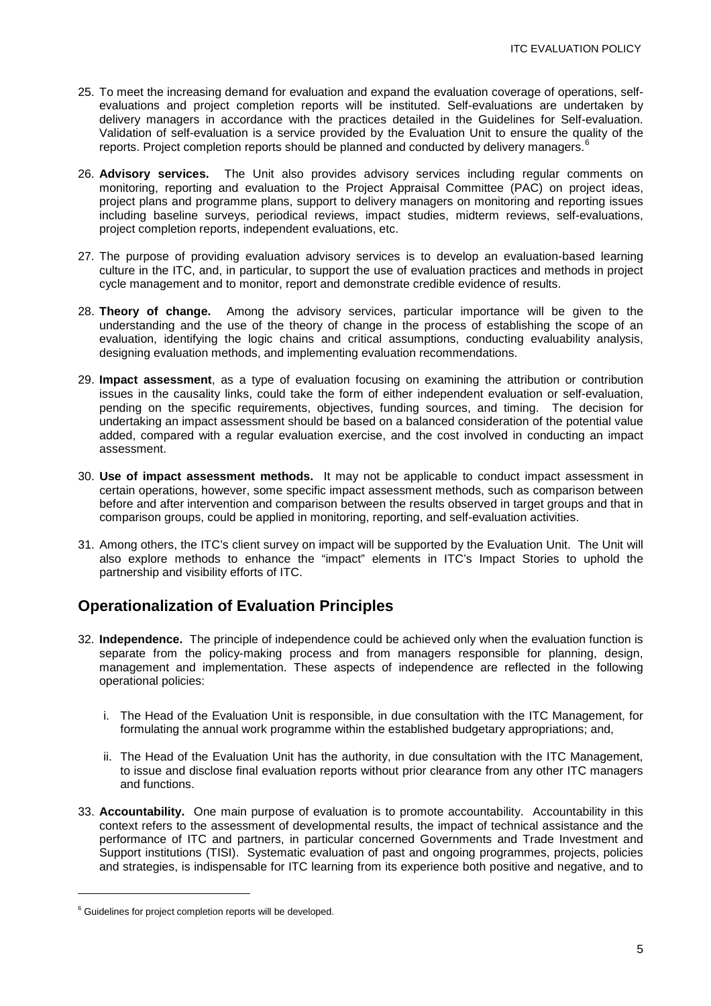- 25. To meet the increasing demand for evaluation and expand the evaluation coverage of operations, selfevaluations and project completion reports will be instituted. Self-evaluations are undertaken by delivery managers in accordance with the practices detailed in the Guidelines for Self-evaluation. Validation of self-evaluation is a service provided by the Evaluation Unit to ensure the quality of the reports. Project completion reports should be planned and conducted by delivery managers.<sup>6</sup>
- 26. Advisory services. The Unit also provides advisory services including regular comments on monitoring, reporting and evaluation to the Project Appraisal Committee (PAC) on project ideas, project plans and programme plans, support to delivery managers on monitoring and reporting issues including baseline surveys, periodical reviews, impact studies, midterm reviews, self-evaluations, project completion reports, independent evaluations, etc.
- 27. The purpose of providing evaluation advisory services is to develop an evaluation-based learning culture in the ITC, and, in particular, to support the use of evaluation practices and methods in project cycle management and to monitor, report and demonstrate credible evidence of results.
- 28. Theory of change. Among the advisory services, particular importance will be given to the understanding and the use of the theory of change in the process of establishing the scope of an evaluation, identifying the logic chains and critical assumptions, conducting evaluability analysis, designing evaluation methods, and implementing evaluation recommendations.
- 29. Impact assessment, as a type of evaluation focusing on examining the attribution or contribution issues in the causality links, could take the form of either independent evaluation or self-evaluation, pending on the specific requirements, objectives, funding sources, and timing. The decision for undertaking an impact assessment should be based on a balanced consideration of the potential value added, compared with a regular evaluation exercise, and the cost involved in conducting an impact assessment.
- 30. Use of impact assessment methods. It may not be applicable to conduct impact assessment in certain operations, however, some specific impact assessment methods, such as comparison between before and after intervention and comparison between the results observed in target groups and that in comparison groups, could be applied in monitoring, reporting, and self-evaluation activities.
- 31. Among others, the ITC's client survey on impact will be supported by the Evaluation Unit. The Unit will also explore methods to enhance the "impact" elements in ITC's Impact Stories to uphold the partnership and visibility efforts of ITC.

## **Operationalization of Evaluation Principles**

- 32. Independence. The principle of independence could be achieved only when the evaluation function is separate from the policy-making process and from managers responsible for planning, design, management and implementation. These aspects of independence are reflected in the following operational policies:
	- i. The Head of the Evaluation Unit is responsible, in due consultation with the ITC Management, for formulating the annual work programme within the established budgetary appropriations; and,
	- ii. The Head of the Evaluation Unit has the authority, in due consultation with the ITC Management, to issue and disclose final evaluation reports without prior clearance from any other ITC managers and functions.
- 33. Accountability. One main purpose of evaluation is to promote accountability. Accountability in this context refers to the assessment of developmental results, the impact of technical assistance and the performance of ITC and partners, in particular concerned Governments and Trade Investment and Support institutions (TISI). Systematic evaluation of past and ongoing programmes, projects, policies and strategies, is indispensable for ITC learning from its experience both positive and negative, and to

<sup>&</sup>lt;sup>6</sup> Guidelines for project completion reports will be developed.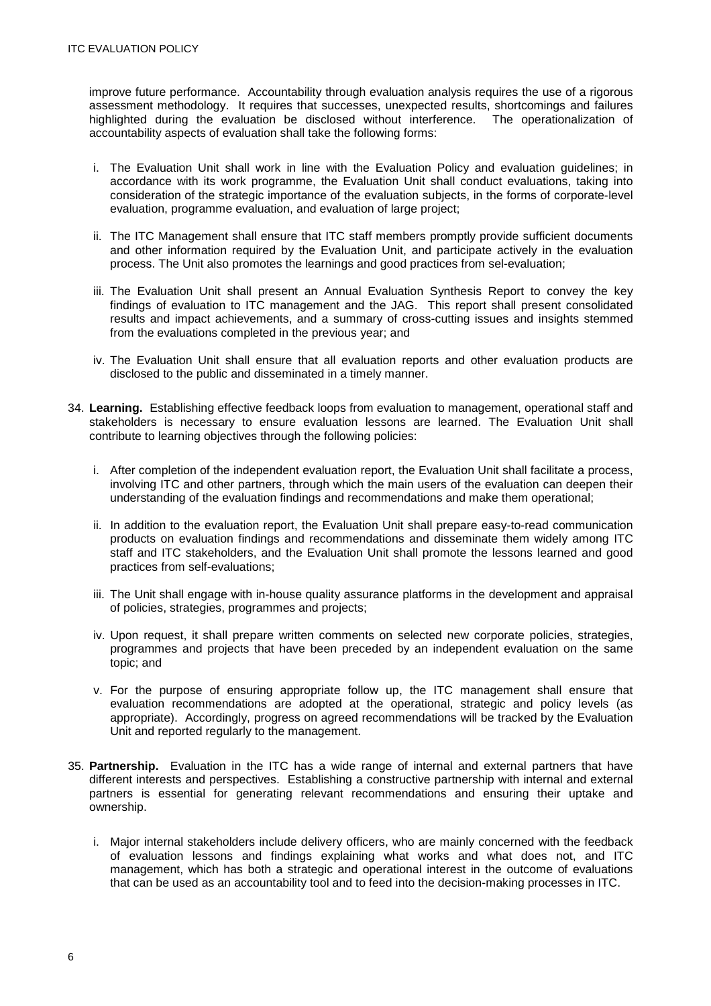improve future performance. Accountability through evaluation analysis requires the use of a rigorous assessment methodology. It requires that successes, unexpected results, shortcomings and failures highlighted during the evaluation be disclosed without interference. The operationalization of accountability aspects of evaluation shall take the following forms:

- i. The Evaluation Unit shall work in line with the Evaluation Policy and evaluation guidelines; in accordance with its work programme, the Evaluation Unit shall conduct evaluations, taking into consideration of the strategic importance of the evaluation subjects, in the forms of corporate-level evaluation, programme evaluation, and evaluation of large project;
- ii. The ITC Management shall ensure that ITC staff members promptly provide sufficient documents and other information required by the Evaluation Unit, and participate actively in the evaluation process. The Unit also promotes the learnings and good practices from sel-evaluation;
- iii. The Evaluation Unit shall present an Annual Evaluation Synthesis Report to convey the key findings of evaluation to ITC management and the JAG. This report shall present consolidated results and impact achievements, and a summary of cross-cutting issues and insights stemmed from the evaluations completed in the previous year; and
- iv. The Evaluation Unit shall ensure that all evaluation reports and other evaluation products are disclosed to the public and disseminated in a timely manner.
- 34. Learning. Establishing effective feedback loops from evaluation to management, operational staff and stakeholders is necessary to ensure evaluation lessons are learned. The Evaluation Unit shall contribute to learning objectives through the following policies:
	- i. After completion of the independent evaluation report, the Evaluation Unit shall facilitate a process, involving ITC and other partners, through which the main users of the evaluation can deepen their understanding of the evaluation findings and recommendations and make them operational;
	- ii. In addition to the evaluation report, the Evaluation Unit shall prepare easy-to-read communication products on evaluation findings and recommendations and disseminate them widely among ITC staff and ITC stakeholders, and the Evaluation Unit shall promote the lessons learned and good practices from self-evaluations;
	- iii. The Unit shall engage with in-house quality assurance platforms in the development and appraisal of policies, strategies, programmes and projects;
	- iv. Upon request, it shall prepare written comments on selected new corporate policies, strategies, programmes and projects that have been preceded by an independent evaluation on the same topic; and
	- v. For the purpose of ensuring appropriate follow up, the ITC management shall ensure that evaluation recommendations are adopted at the operational, strategic and policy levels (as appropriate). Accordingly, progress on agreed recommendations will be tracked by the Evaluation Unit and reported regularly to the management.
- 35. Partnership. Evaluation in the ITC has a wide range of internal and external partners that have different interests and perspectives. Establishing a constructive partnership with internal and external partners is essential for generating relevant recommendations and ensuring their uptake and ownership.
	- i. Major internal stakeholders include delivery officers, who are mainly concerned with the feedback of evaluation lessons and findings explaining what works and what does not, and ITC management, which has both a strategic and operational interest in the outcome of evaluations that can be used as an accountability tool and to feed into the decision-making processes in ITC.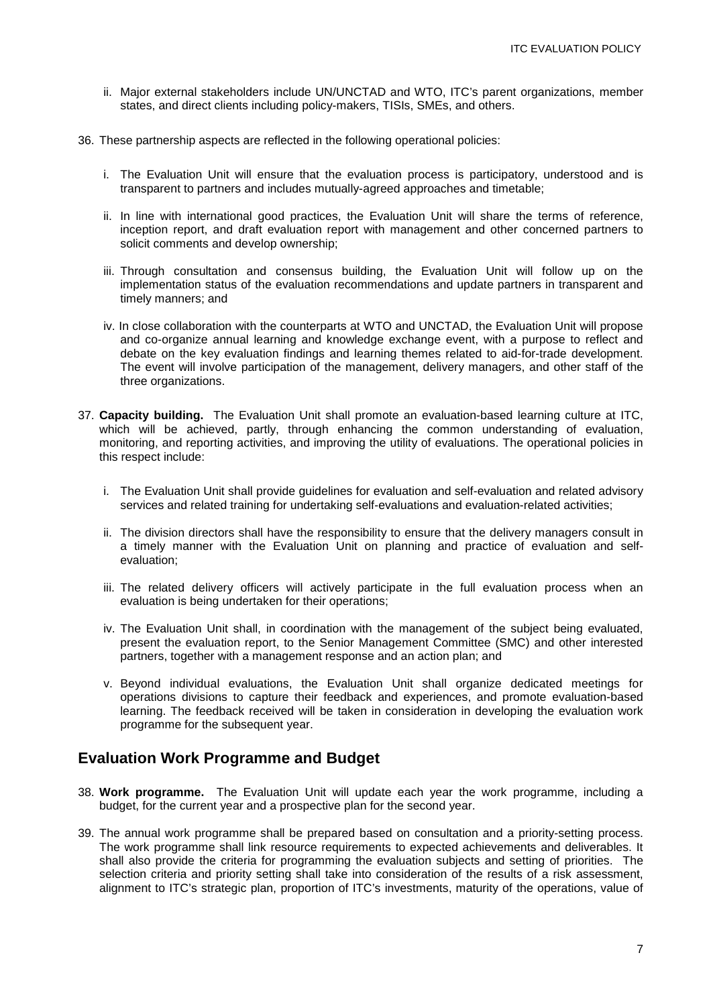- ii. Major external stakeholders include UN/UNCTAD and WTO, ITC's parent organizations, member states, and direct clients including policy-makers, TISIs, SMEs, and others.
- 36. These partnership aspects are reflected in the following operational policies:
	- i. The Evaluation Unit will ensure that the evaluation process is participatory, understood and is transparent to partners and includes mutually-agreed approaches and timetable;
	- ii. In line with international good practices, the Evaluation Unit will share the terms of reference, inception report, and draft evaluation report with management and other concerned partners to solicit comments and develop ownership;
	- iii. Through consultation and consensus building, the Evaluation Unit will follow up on the implementation status of the evaluation recommendations and update partners in transparent and timely manners; and
	- iv. In close collaboration with the counterparts at WTO and UNCTAD, the Evaluation Unit will propose and co-organize annual learning and knowledge exchange event, with a purpose to reflect and debate on the key evaluation findings and learning themes related to aid-for-trade development. The event will involve participation of the management, delivery managers, and other staff of the three organizations.
- 37. Capacity building. The Evaluation Unit shall promote an evaluation-based learning culture at ITC. which will be achieved, partly, through enhancing the common understanding of evaluation. monitoring, and reporting activities, and improving the utility of evaluations. The operational policies in this respect include:
	- i. The Evaluation Unit shall provide guidelines for evaluation and self-evaluation and related advisory services and related training for undertaking self-evaluations and evaluation-related activities;
	- ii. The division directors shall have the responsibility to ensure that the delivery managers consult in a timely manner with the Evaluation Unit on planning and practice of evaluation and selfevaluation:
	- iii. The related delivery officers will actively participate in the full evaluation process when an evaluation is being undertaken for their operations;
	- iv. The Evaluation Unit shall, in coordination with the management of the subject being evaluated, present the evaluation report, to the Senior Management Committee (SMC) and other interested partners, together with a management response and an action plan; and
	- v. Beyond individual evaluations, the Evaluation Unit shall organize dedicated meetings for operations divisions to capture their feedback and experiences, and promote evaluation-based learning. The feedback received will be taken in consideration in developing the evaluation work programme for the subsequent year.

#### **Evaluation Work Programme and Budget**

- 38. Work programme. The Evaluation Unit will update each year the work programme, including a budget, for the current year and a prospective plan for the second year.
- 39. The annual work programme shall be prepared based on consultation and a priority-setting process. The work programme shall link resource requirements to expected achievements and deliverables. It shall also provide the criteria for programming the evaluation subjects and setting of priorities. The selection criteria and priority setting shall take into consideration of the results of a risk assessment, alignment to ITC's strategic plan, proportion of ITC's investments, maturity of the operations, value of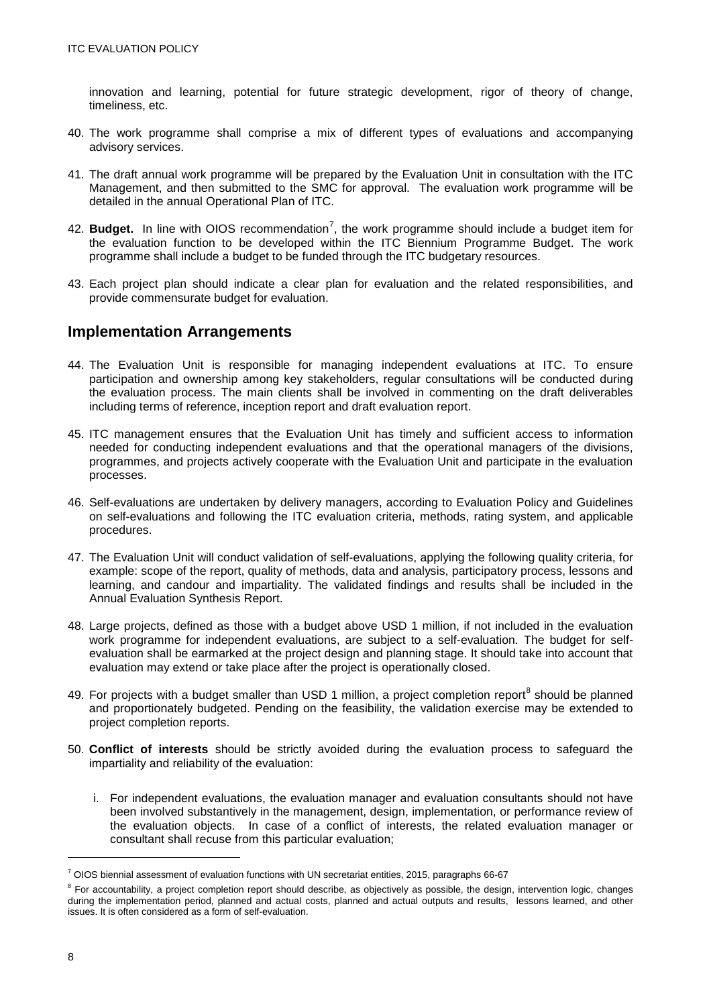innovation and learning, potential for future strategic development, rigor of theory of change, timeliness, etc.

- 40. The work programme shall comprise a mix of different types of evaluations and accompanying advisory services.
- 41. The draft annual work programme will be prepared by the Evaluation Unit in consultation with the ITC Management, and then submitted to the SMC for approval. The evaluation work programme will be detailed in the annual Operational Plan of ITC.
- 42. Budget. In line with OIOS recommendation<sup>7</sup>, the work programme should include a budget item for the evaluation function to be developed within the ITC Biennium Programme Budget. The work programme shall include a budget to be funded through the ITC budgetary resources.
- 43. Each project plan should indicate a clear plan for evaluation and the related responsibilities, and provide commensurate budget for evaluation.

#### **Implementation Arrangements**

- 44. The Evaluation Unit is responsible for managing independent evaluations at ITC. To ensure participation and ownership among key stakeholders, regular consultations will be conducted during the evaluation process. The main clients shall be involved in commenting on the draft deliverables including terms of reference, inception report and draft evaluation report.
- 45. ITC management ensures that the Evaluation Unit has timely and sufficient access to information needed for conducting independent evaluations and that the operational managers of the divisions, programmes, and projects actively cooperate with the Evaluation Unit and participate in the evaluation processes.
- 46. Self-evaluations are undertaken by delivery managers, according to Evaluation Policy and Guidelines on self-evaluations and following the ITC evaluation criteria, methods, rating system, and applicable procedures.
- 47. The Evaluation Unit will conduct validation of self-evaluations, applying the following quality criteria, for example: scope of the report, quality of methods, data and analysis, participatory process, lessons and learning, and candour and impartiality. The validated findings and results shall be included in the Annual Evaluation Synthesis Report.
- 48. Large projects, defined as those with a budget above USD 1 million, if not included in the evaluation work programme for independent evaluations, are subject to a self-evaluation. The budget for selfevaluation shall be earmarked at the project design and planning stage. It should take into account that evaluation may extend or take place after the project is operationally closed.
- 49. For projects with a budget smaller than USD 1 million, a project completion report<sup>8</sup> should be planned and proportionately budgeted. Pending on the feasibility, the validation exercise may be extended to project completion reports.
- 50. Conflict of interests should be strictly avoided during the evaluation process to safeguard the impartiality and reliability of the evaluation:
	- i. For independent evaluations, the evaluation manager and evaluation consultants should not have been involved substantively in the management, design, implementation, or performance review of the evaluation objects. In case of a conflict of interests, the related evaluation manager or consultant shall recuse from this particular evaluation;

<sup>&</sup>lt;sup>7</sup> OIOS biennial assessment of evaluation functions with UN secretariat entities, 2015, paragraphs 66-67

<sup>&</sup>lt;sup>8</sup> For accountability, a project completion report should describe, as objectively as possible, the design, intervention logic, changes during the implementation period, planned and actual costs, planned and actual outputs and results, lessons learned, and other issues. It is often considered as a form of self-evaluation.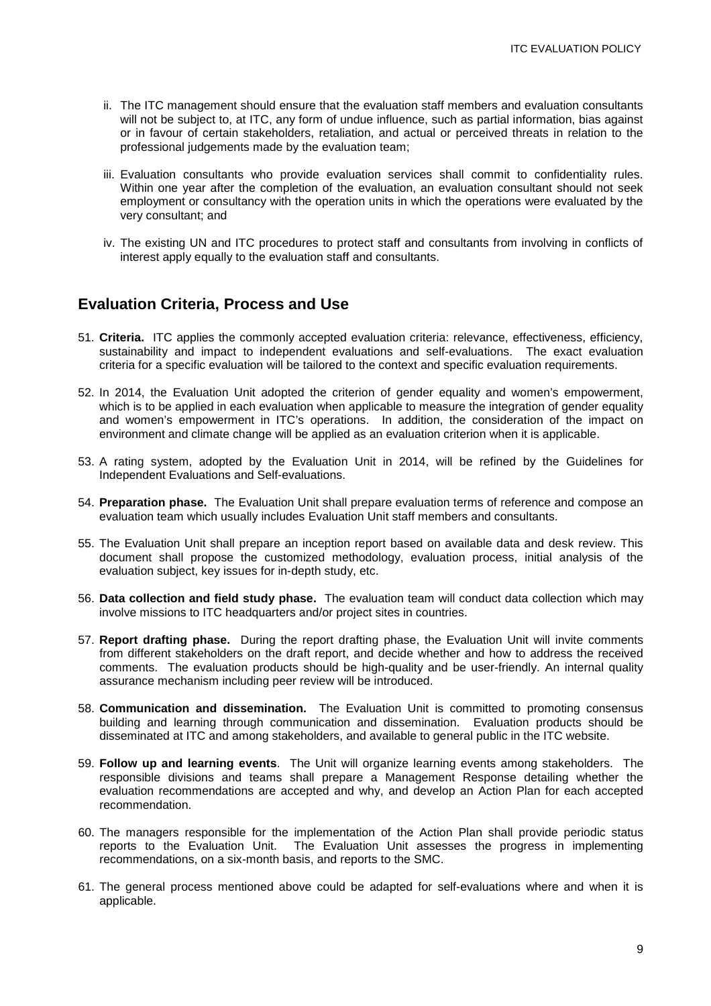- ii. The ITC management should ensure that the evaluation staff members and evaluation consultants will not be subject to, at ITC, any form of undue influence, such as partial information, bias against or in favour of certain stakeholders, retaliation, and actual or perceived threats in relation to the professional judgements made by the evaluation team;
- iii. Evaluation consultants who provide evaluation services shall commit to confidentiality rules. Within one year after the completion of the evaluation, an evaluation consultant should not seek employment or consultancy with the operation units in which the operations were evaluated by the very consultant; and
- iv. The existing UN and ITC procedures to protect staff and consultants from involving in conflicts of interest apply equally to the evaluation staff and consultants.

#### **Evaluation Criteria, Process and Use**

- 51. Criteria. ITC applies the commonly accepted evaluation criteria: relevance, effectiveness, efficiency, sustainability and impact to independent evaluations and self-evaluations. The exact evaluation criteria for a specific evaluation will be tailored to the context and specific evaluation requirements.
- 52. In 2014, the Evaluation Unit adopted the criterion of gender equality and women's empowerment, which is to be applied in each evaluation when applicable to measure the integration of gender equality and women's empowerment in ITC's operations. In addition, the consideration of the impact on environment and climate change will be applied as an evaluation criterion when it is applicable.
- 53. A rating system, adopted by the Evaluation Unit in 2014, will be refined by the Guidelines for Independent Evaluations and Self-evaluations.
- 54. Preparation phase. The Evaluation Unit shall prepare evaluation terms of reference and compose an evaluation team which usually includes Evaluation Unit staff members and consultants.
- 55. The Evaluation Unit shall prepare an inception report based on available data and desk review. This document shall propose the customized methodology, evaluation process, initial analysis of the evaluation subject, key issues for in-depth study, etc.
- 56. Data collection and field study phase. The evaluation team will conduct data collection which may involve missions to ITC headquarters and/or project sites in countries.
- 57. Report drafting phase. During the report drafting phase, the Evaluation Unit will invite comments from different stakeholders on the draft report, and decide whether and how to address the received comments. The evaluation products should be high-quality and be user-friendly. An internal quality assurance mechanism including peer review will be introduced.
- 58. Communication and dissemination. The Evaluation Unit is committed to promoting consensus building and learning through communication and dissemination. Evaluation products should be disseminated at ITC and among stakeholders, and available to general public in the ITC website.
- 59. Follow up and learning events. The Unit will organize learning events among stakeholders. The responsible divisions and teams shall prepare a Management Response detailing whether the evaluation recommendations are accepted and why, and develop an Action Plan for each accepted recommendation.
- 60. The managers responsible for the implementation of the Action Plan shall provide periodic status reports to the Evaluation Unit. The Evaluation Unit assesses the progress in implementing recommendations, on a six-month basis, and reports to the SMC.
- 61. The general process mentioned above could be adapted for self-evaluations where and when it is applicable.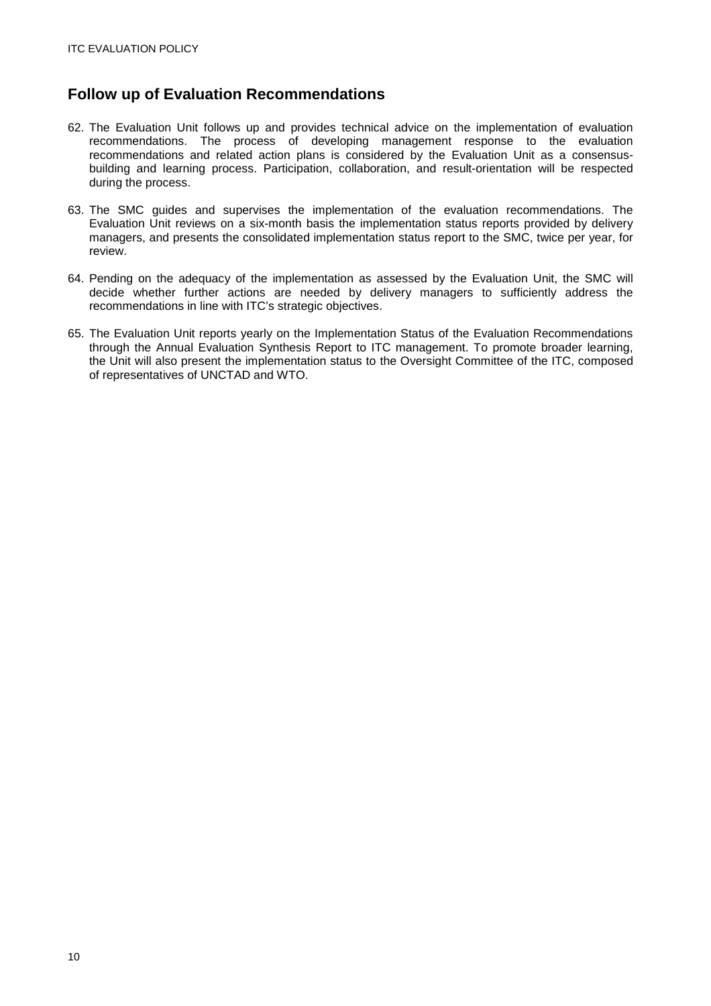# **Follow up of Evaluation Recommendations**

- 62. The Evaluation Unit follows up and provides technical advice on the implementation of evaluation recommendations. The process of developing management response to the evaluation recommendations and related action plans is considered by the Evaluation Unit as a consensusbuilding and learning process. Participation, collaboration, and result-orientation will be respected during the process.
- 63. The SMC guides and supervises the implementation of the evaluation recommendations. The Evaluation Unit reviews on a six-month basis the implementation status reports provided by delivery managers, and presents the consolidated implementation status report to the SMC, twice per year, for review.
- 64. Pending on the adequacy of the implementation as assessed by the Evaluation Unit, the SMC will decide whether further actions are needed by delivery managers to sufficiently address the recommendations in line with ITC's strategic objectives.
- 65. The Evaluation Unit reports yearly on the Implementation Status of the Evaluation Recommendations through the Annual Evaluation Synthesis Report to ITC management. To promote broader learning, the Unit will also present the implementation status to the Oversight Committee of the ITC, composed of representatives of UNCTAD and WTO.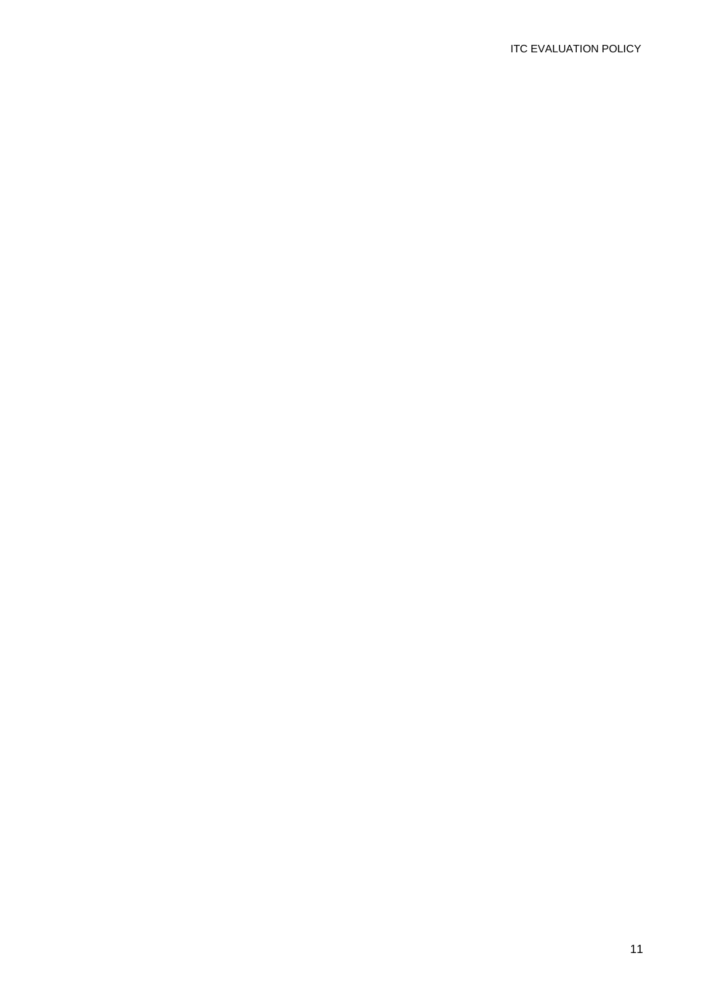#### **ITC EVALUATION POLICY**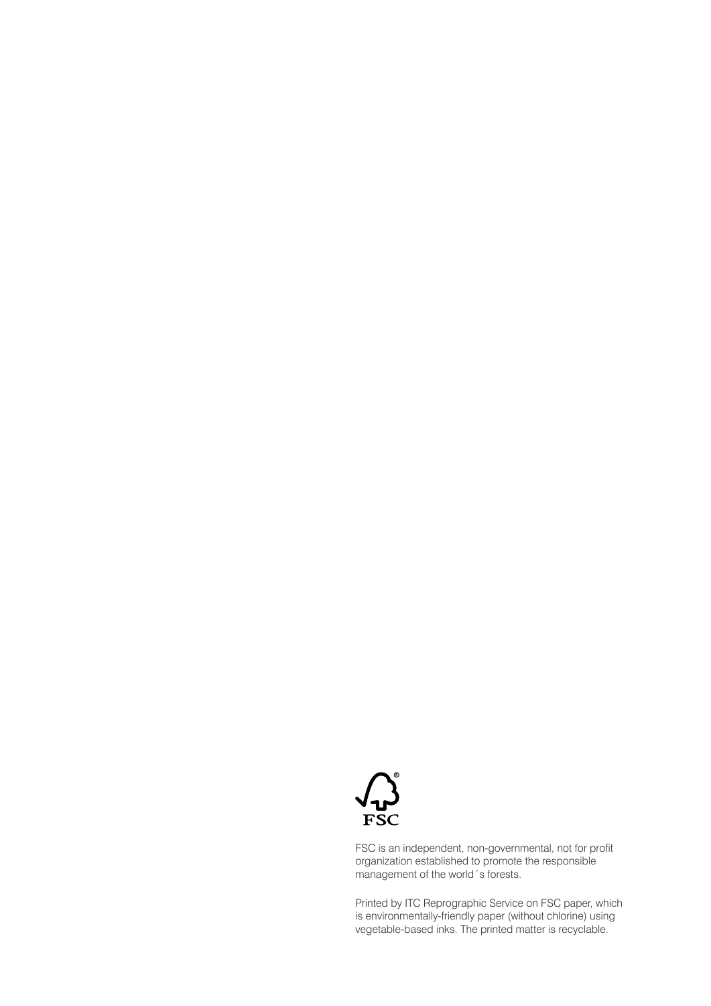

FSC is an independent, non-governmental, not for profit organization established to promote the responsible management of the world´s forests.

Printed by ITC Reprographic Service on FSC paper, which is environmentally-friendly paper (without chlorine) using vegetable-based inks. The printed matter is recyclable.